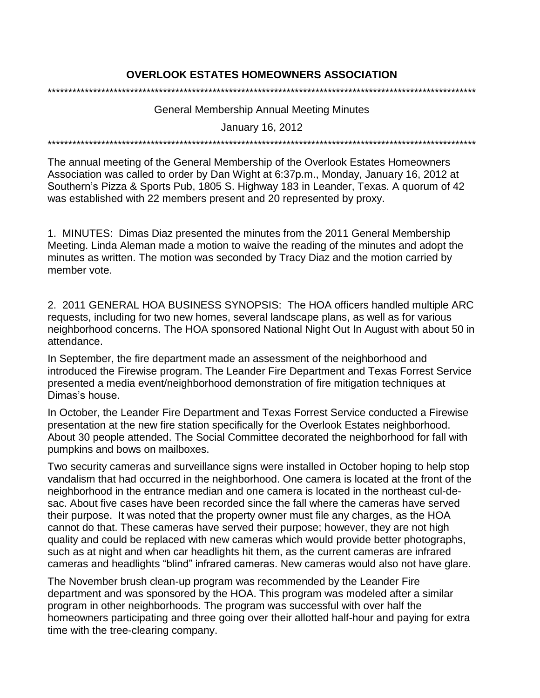## **OVERLOOK ESTATES HOMEOWNERS ASSOCIATION**

\*\*\*\*\*\*\*\*\*\*\*\*\*\*\*\*\*\*\*\*\*\*\*\*\*\*\*\*\*\*\*\*\*\*\*\*\*\*\*\*\*\*\*\*\*\*\*\*\*\*\*\*\*\*\*\*\*\*\*\*\*\*\*\*\*\*\*\*\*\*\*\*\*\*\*\*\*\*\*\*\*\*\*\*\*\*\*\*\*\*\*\*\*\*\*\*\*\*\*\*\*\*\*\*

General Membership Annual Meeting Minutes

January 16, 2012

\*\*\*\*\*\*\*\*\*\*\*\*\*\*\*\*\*\*\*\*\*\*\*\*\*\*\*\*\*\*\*\*\*\*\*\*\*\*\*\*\*\*\*\*\*\*\*\*\*\*\*\*\*\*\*\*\*\*\*\*\*\*\*\*\*\*\*\*\*\*\*\*\*\*\*\*\*\*\*\*\*\*\*\*\*\*\*\*\*\*\*\*\*\*\*\*\*\*\*\*\*\*\*\*

The annual meeting of the General Membership of the Overlook Estates Homeowners Association was called to order by Dan Wight at 6:37p.m., Monday, January 16, 2012 at Southern's Pizza & Sports Pub, 1805 S. Highway 183 in Leander, Texas. A quorum of 42 was established with 22 members present and 20 represented by proxy.

1. MINUTES: Dimas Diaz presented the minutes from the 2011 General Membership Meeting. Linda Aleman made a motion to waive the reading of the minutes and adopt the minutes as written. The motion was seconded by Tracy Diaz and the motion carried by member vote.

2. 2011 GENERAL HOA BUSINESS SYNOPSIS: The HOA officers handled multiple ARC requests, including for two new homes, several landscape plans, as well as for various neighborhood concerns. The HOA sponsored National Night Out In August with about 50 in attendance.

In September, the fire department made an assessment of the neighborhood and introduced the Firewise program. The Leander Fire Department and Texas Forrest Service presented a media event/neighborhood demonstration of fire mitigation techniques at Dimas's house.

In October, the Leander Fire Department and Texas Forrest Service conducted a Firewise presentation at the new fire station specifically for the Overlook Estates neighborhood. About 30 people attended. The Social Committee decorated the neighborhood for fall with pumpkins and bows on mailboxes.

Two security cameras and surveillance signs were installed in October hoping to help stop vandalism that had occurred in the neighborhood. One camera is located at the front of the neighborhood in the entrance median and one camera is located in the northeast cul-desac. About five cases have been recorded since the fall where the cameras have served their purpose. It was noted that the property owner must file any charges, as the HOA cannot do that. These cameras have served their purpose; however, they are not high quality and could be replaced with new cameras which would provide better photographs, such as at night and when car headlights hit them, as the current cameras are infrared cameras and headlights "blind" infrared cameras. New cameras would also not have glare.

The November brush clean-up program was recommended by the Leander Fire department and was sponsored by the HOA. This program was modeled after a similar program in other neighborhoods. The program was successful with over half the homeowners participating and three going over their allotted half-hour and paying for extra time with the tree-clearing company.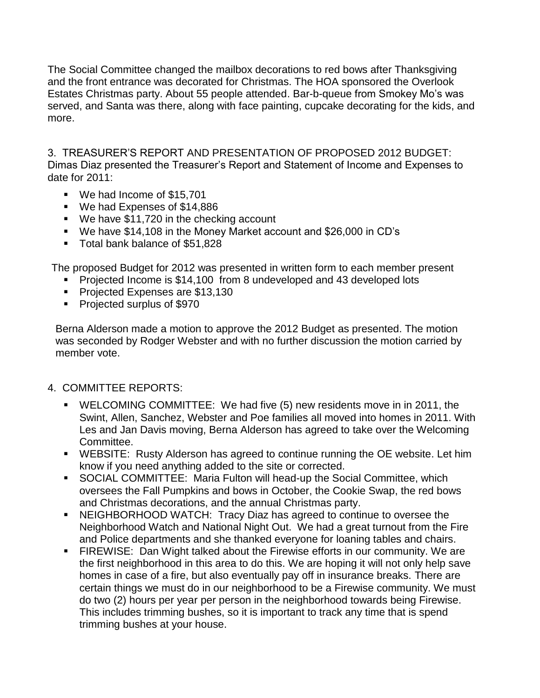The Social Committee changed the mailbox decorations to red bows after Thanksgiving and the front entrance was decorated for Christmas. The HOA sponsored the Overlook Estates Christmas party. About 55 people attended. Bar-b-queue from Smokey Mo's was served, and Santa was there, along with face painting, cupcake decorating for the kids, and more.

3. TREASURER'S REPORT AND PRESENTATION OF PROPOSED 2012 BUDGET: Dimas Diaz presented the Treasurer's Report and Statement of Income and Expenses to date for 2011:

- We had Income of \$15,701
- We had Expenses of \$14,886
- We have \$11,720 in the checking account
- We have \$14,108 in the Money Market account and \$26,000 in CD's
- Total bank balance of \$51,828

The proposed Budget for 2012 was presented in written form to each member present

- **Projected Income is \$14,100 from 8 undeveloped and 43 developed lots**
- Projected Expenses are \$13,130
- **Projected surplus of \$970**

Berna Alderson made a motion to approve the 2012 Budget as presented. The motion was seconded by Rodger Webster and with no further discussion the motion carried by member vote.

## 4. COMMITTEE REPORTS:

- WELCOMING COMMITTEE: We had five (5) new residents move in in 2011, the Swint, Allen, Sanchez, Webster and Poe families all moved into homes in 2011. With Les and Jan Davis moving, Berna Alderson has agreed to take over the Welcoming Committee.
- WEBSITE: Rusty Alderson has agreed to continue running the OE website. Let him know if you need anything added to the site or corrected.
- SOCIAL COMMITTEE: Maria Fulton will head-up the Social Committee, which oversees the Fall Pumpkins and bows in October, the Cookie Swap, the red bows and Christmas decorations, and the annual Christmas party.
- **NEIGHBORHOOD WATCH: Tracy Diaz has agreed to continue to oversee the** Neighborhood Watch and National Night Out. We had a great turnout from the Fire and Police departments and she thanked everyone for loaning tables and chairs.
- **FIREWISE:** Dan Wight talked about the Firewise efforts in our community. We are the first neighborhood in this area to do this. We are hoping it will not only help save homes in case of a fire, but also eventually pay off in insurance breaks. There are certain things we must do in our neighborhood to be a Firewise community. We must do two (2) hours per year per person in the neighborhood towards being Firewise. This includes trimming bushes, so it is important to track any time that is spend trimming bushes at your house.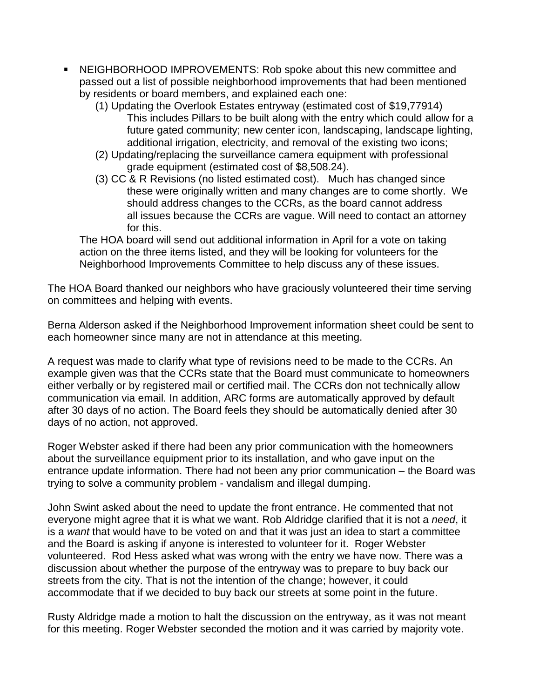- NEIGHBORHOOD IMPROVEMENTS: Rob spoke about this new committee and passed out a list of possible neighborhood improvements that had been mentioned by residents or board members, and explained each one:
	- (1) Updating the Overlook Estates entryway (estimated cost of \$19,77914) This includes Pillars to be built along with the entry which could allow for a future gated community; new center icon, landscaping, landscape lighting, additional irrigation, electricity, and removal of the existing two icons;
	- (2) Updating/replacing the surveillance camera equipment with professional grade equipment (estimated cost of \$8,508.24).
	- (3) CC & R Revisions (no listed estimated cost). Much has changed since these were originally written and many changes are to come shortly. We should address changes to the CCRs, as the board cannot address all issues because the CCRs are vague. Will need to contact an attorney for this.

The HOA board will send out additional information in April for a vote on taking action on the three items listed, and they will be looking for volunteers for the Neighborhood Improvements Committee to help discuss any of these issues.

The HOA Board thanked our neighbors who have graciously volunteered their time serving on committees and helping with events.

Berna Alderson asked if the Neighborhood Improvement information sheet could be sent to each homeowner since many are not in attendance at this meeting.

A request was made to clarify what type of revisions need to be made to the CCRs. An example given was that the CCRs state that the Board must communicate to homeowners either verbally or by registered mail or certified mail. The CCRs don not technically allow communication via email. In addition, ARC forms are automatically approved by default after 30 days of no action. The Board feels they should be automatically denied after 30 days of no action, not approved.

Roger Webster asked if there had been any prior communication with the homeowners about the surveillance equipment prior to its installation, and who gave input on the entrance update information. There had not been any prior communication – the Board was trying to solve a community problem - vandalism and illegal dumping.

John Swint asked about the need to update the front entrance. He commented that not everyone might agree that it is what we want. Rob Aldridge clarified that it is not a *need*, it is a *want* that would have to be voted on and that it was just an idea to start a committee and the Board is asking if anyone is interested to volunteer for it. Roger Webster volunteered. Rod Hess asked what was wrong with the entry we have now. There was a discussion about whether the purpose of the entryway was to prepare to buy back our streets from the city. That is not the intention of the change; however, it could accommodate that if we decided to buy back our streets at some point in the future.

Rusty Aldridge made a motion to halt the discussion on the entryway, as it was not meant for this meeting. Roger Webster seconded the motion and it was carried by majority vote.